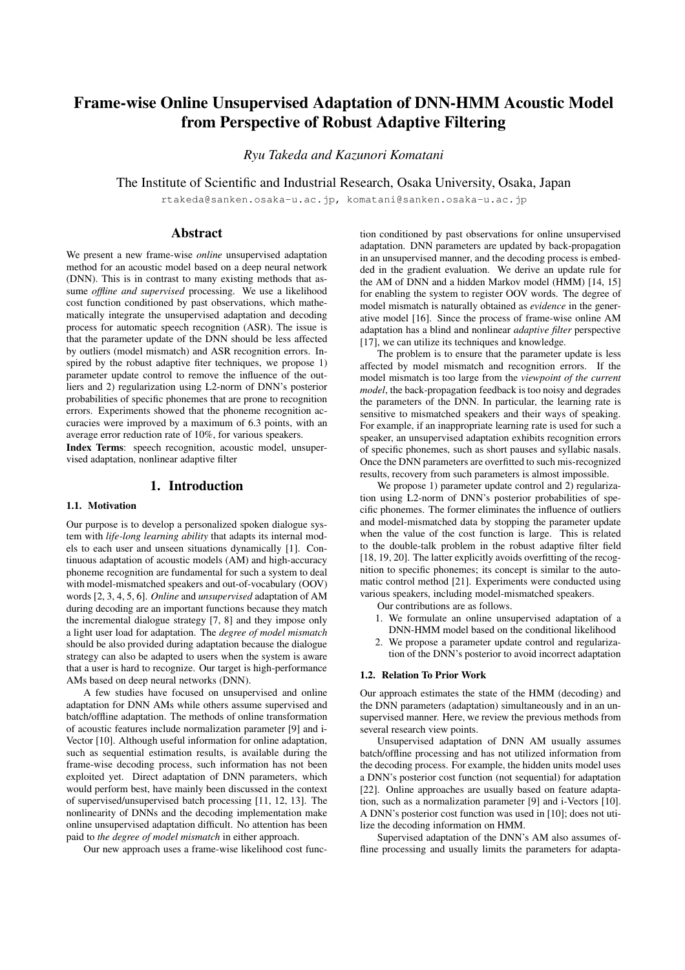# Frame-wise Online Unsupervised Adaptation of DNN-HMM Acoustic Model from Perspective of Robust Adaptive Filtering

*Ryu Takeda and Kazunori Komatani*

The Institute of Scientific and Industrial Research, Osaka University, Osaka, Japan

rtakeda@sanken.osaka-u.ac.jp, komatani@sanken.osaka-u.ac.jp

# Abstract

We present a new frame-wise *online* unsupervised adaptation method for an acoustic model based on a deep neural network (DNN). This is in contrast to many existing methods that assume *offline and supervised* processing. We use a likelihood cost function conditioned by past observations, which mathematically integrate the unsupervised adaptation and decoding process for automatic speech recognition (ASR). The issue is that the parameter update of the DNN should be less affected by outliers (model mismatch) and ASR recognition errors. Inspired by the robust adaptive fiter techniques, we propose 1) parameter update control to remove the influence of the outliers and 2) regularization using L2-norm of DNN's posterior probabilities of specific phonemes that are prone to recognition errors. Experiments showed that the phoneme recognition accuracies were improved by a maximum of 6.3 points, with an average error reduction rate of 10%, for various speakers.

Index Terms: speech recognition, acoustic model, unsupervised adaptation, nonlinear adaptive filter

# 1. Introduction

#### 1.1. Motivation

Our purpose is to develop a personalized spoken dialogue system with *life-long learning ability* that adapts its internal models to each user and unseen situations dynamically [1]. Continuous adaptation of acoustic models (AM) and high-accuracy phoneme recognition are fundamental for such a system to deal with model-mismatched speakers and out-of-vocabulary (OOV) words [2, 3, 4, 5, 6]. *Online* and *unsupervised* adaptation of AM during decoding are an important functions because they match the incremental dialogue strategy [7, 8] and they impose only a light user load for adaptation. The *degree of model mismatch* should be also provided during adaptation because the dialogue strategy can also be adapted to users when the system is aware that a user is hard to recognize. Our target is high-performance AMs based on deep neural networks (DNN).

A few studies have focused on unsupervised and online adaptation for DNN AMs while others assume supervised and batch/offline adaptation. The methods of online transformation of acoustic features include normalization parameter [9] and i-Vector [10]. Although useful information for online adaptation, such as sequential estimation results, is available during the frame-wise decoding process, such information has not been exploited yet. Direct adaptation of DNN parameters, which would perform best, have mainly been discussed in the context of supervised/unsupervised batch processing [11, 12, 13]. The nonlinearity of DNNs and the decoding implementation make online unsupervised adaptation difficult. No attention has been paid to *the degree of model mismatch* in either approach.

Our new approach uses a frame-wise likelihood cost func-

tion conditioned by past observations for online unsupervised adaptation. DNN parameters are updated by back-propagation in an unsupervised manner, and the decoding process is embedded in the gradient evaluation. We derive an update rule for the AM of DNN and a hidden Markov model (HMM) [14, 15] for enabling the system to register OOV words. The degree of model mismatch is naturally obtained as *evidence* in the generative model [16]. Since the process of frame-wise online AM adaptation has a blind and nonlinear *adaptive filter* perspective [17], we can utilize its techniques and knowledge.

The problem is to ensure that the parameter update is less affected by model mismatch and recognition errors. If the model mismatch is too large from the *viewpoint of the current model*, the back-propagation feedback is too noisy and degrades the parameters of the DNN. In particular, the learning rate is sensitive to mismatched speakers and their ways of speaking. For example, if an inappropriate learning rate is used for such a speaker, an unsupervised adaptation exhibits recognition errors of specific phonemes, such as short pauses and syllabic nasals. Once the DNN parameters are overfitted to such mis-recognized results, recovery from such parameters is almost impossible.

We propose 1) parameter update control and 2) regularization using L2-norm of DNN's posterior probabilities of specific phonemes. The former eliminates the influence of outliers and model-mismatched data by stopping the parameter update when the value of the cost function is large. This is related to the double-talk problem in the robust adaptive filter field [18, 19, 20]. The latter explicitly avoids overfitting of the recognition to specific phonemes; its concept is similar to the automatic control method [21]. Experiments were conducted using various speakers, including model-mismatched speakers.

Our contributions are as follows.

- 1. We formulate an online unsupervised adaptation of a DNN-HMM model based on the conditional likelihood
- 2. We propose a parameter update control and regularization of the DNN's posterior to avoid incorrect adaptation

## 1.2. Relation To Prior Work

Our approach estimates the state of the HMM (decoding) and the DNN parameters (adaptation) simultaneously and in an unsupervised manner. Here, we review the previous methods from several research view points.

Unsupervised adaptation of DNN AM usually assumes batch/offline processing and has not utilized information from the decoding process. For example, the hidden units model uses a DNN's posterior cost function (not sequential) for adaptation [22]. Online approaches are usually based on feature adaptation, such as a normalization parameter [9] and i-Vectors [10]. A DNN's posterior cost function was used in [10]; does not utilize the decoding information on HMM.

Supervised adaptation of the DNN's AM also assumes offline processing and usually limits the parameters for adapta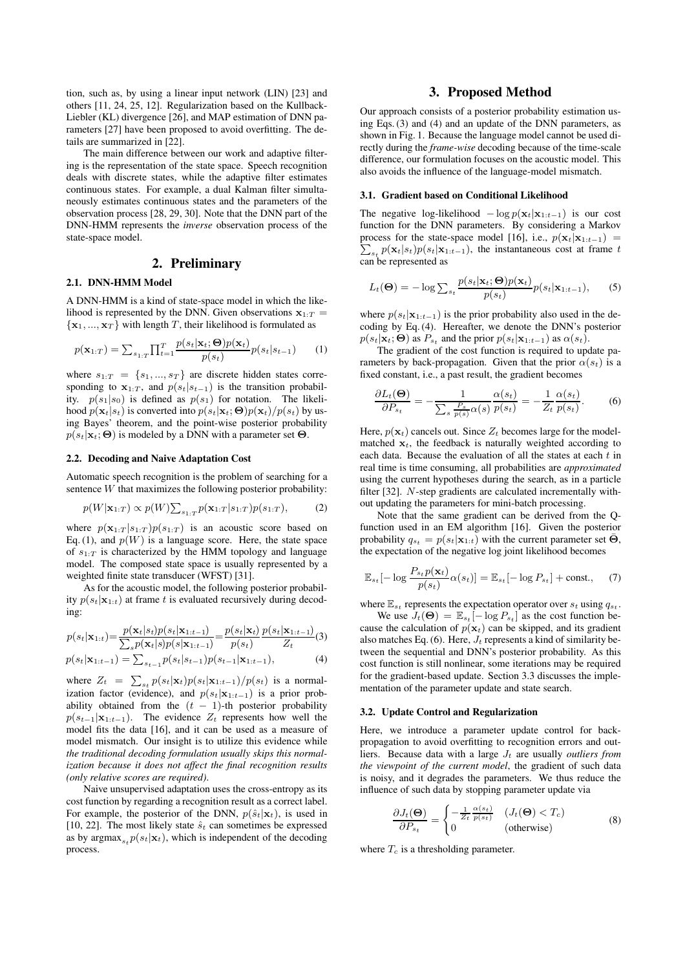tion, such as, by using a linear input network (LIN) [23] and others [11, 24, 25, 12]. Regularization based on the Kullback-Liebler (KL) divergence [26], and MAP estimation of DNN parameters [27] have been proposed to avoid overfitting. The details are summarized in [22].

The main difference between our work and adaptive filtering is the representation of the state space. Speech recognition deals with discrete states, while the adaptive filter estimates continuous states. For example, a dual Kalman filter simultaneously estimates continuous states and the parameters of the observation process [28, 29, 30]. Note that the DNN part of the DNN-HMM represents the *inverse* observation process of the state-space model.

# 2. Preliminary

## 2.1. DNN-HMM Model

A DNN-HMM is a kind of state-space model in which the likelihood is represented by the DNN. Given observations  $\mathbf{x}_{1:T}$  $\{x_1, ..., x_T\}$  with length T, their likelihood is formulated as

$$
p(\mathbf{x}_{1:T}) = \sum_{s_{1:T}} \prod_{t=1}^T \frac{p(s_t|\mathbf{x}_t; \Theta)p(\mathbf{x}_t)}{p(s_t)} p(s_t|s_{t-1}) \qquad (1)
$$

where  $s_{1:T} = \{s_1, ..., s_T\}$  are discrete hidden states corre-<br>sponding to  $\mathbf{x}_{1:T}$  and  $p(s_i|s_{i-1})$  is the transition probabilsponding to  $\mathbf{x}_{1:T}$ , and  $p(s_t|s_{t-1})$  is the transition probability.  $p(s_1|s_0)$  is defined as  $p(s_1)$  for notation. The likelihood  $p(\mathbf{x}_t|s_t)$  is converted into  $p(s_t|\mathbf{x}_t; \Theta)p(\mathbf{x}_t)/p(s_t)$  by using Bayes' theorem, and the point-wise posterior probability  $p(s_t|\mathbf{x}_t; \Theta)$  is modeled by a DNN with a parameter set  $\Theta$ .

## 2.2. Decoding and Naive Adaptation Cost

Automatic speech recognition is the problem of searching for a sentence  $W$  that maximizes the following posterior probability:

$$
p(W|\mathbf{x}_{1:T}) \propto p(W) \sum_{s_{1:T}} p(\mathbf{x}_{1:T}|s_{1:T}) p(s_{1:T}), \tag{2}
$$

where  $p(\mathbf{x}_{1:T} | s_{1:T}) p(s_{1:T})$  is an acoustic score based on Eq. (1), and  $p(W)$  is a language score. Here, the state space of  $s_{1:T}$  is characterized by the HMM topology and language model. The composed state space is usually represented by a weighted finite state transducer (WFST) [31].

As for the acoustic model, the following posterior probability  $p(s_t|\mathbf{x}_{1:t})$  at frame t is evaluated recursively during decoding:

$$
p(s_t|\mathbf{x}_{1:t}) = \frac{p(\mathbf{x}_t|s_t)p(s_t|\mathbf{x}_{1:t-1})}{\sum_s p(\mathbf{x}_t|s)p(s|\mathbf{x}_{1:t-1})} = \frac{p(s_t|\mathbf{x}_t)}{p(s_t)} \frac{p(s_t|\mathbf{x}_{1:t-1})}{Z_t}
$$
(3)  

$$
p(s_t|\mathbf{x}_{1:t-1}) = \sum_{s_{t-1}} p(s_t|s_{t-1})p(s_{t-1}|\mathbf{x}_{1:t-1}),
$$
(4)

where  $Z_t = \sum_{s,t} p(s_t|\mathbf{x}_t)p(s_t|\mathbf{x}_{1:t-1})/p(s_t)$  is a normal-<br>iration fector (ovidence) and  $p(s_t|\mathbf{x}_{1:t-1})$  is a noise probization factor (evidence), and  $p(s_t|\mathbf{x}_{1:t-1})$  is a prior probability obtained from the  $(t - 1)$ -th posterior probability  $p(s_{t-1}|\mathbf{x}_{1:t-1})$ . The evidence  $Z_t$  represents how well the model fits the data [16], and it can be used as a measure of model mismatch. Our insight is to utilize this evidence while *the traditional decoding formulation usually skips this normalization because it does not affect the final recognition results (only relative scores are required)*.

Naive unsupervised adaptation uses the cross-entropy as its cost function by regarding a recognition result as a correct label. For example, the posterior of the DNN,  $p(\hat{s}_t|\mathbf{x}_t)$ , is used in [10, 22]. The most likely state  $\hat{s}_t$  can sometimes be expressed as by  $\argmax_{s \in \mathcal{P}} (s_t|\mathbf{x}_t)$ , which is independent of the decoding process.

# 3. Proposed Method

Our approach consists of a posterior probability estimation using Eqs. (3) and (4) and an update of the DNN parameters, as shown in Fig. 1. Because the language model cannot be used directly during the *frame-wise* decoding because of the time-scale difference, our formulation focuses on the acoustic model. This also avoids the influence of the language-model mismatch.

# 3.1. Gradient based on Conditional Likelihood

The negative log-likelihood  $-\log p(\mathbf{x}_t|\mathbf{x}_{1:t-1})$  is our cost function for the DNN parameters. By considering a Markov process for the state-space model [16], i.e.,  $p(\mathbf{x}_t|\mathbf{x}_{1:t-1}) = \sum_{n} p(\mathbf{x}_t|\mathbf{x}_{1:t-1}) p(s_t|\mathbf{x}_{1:t-1})$  the instantaneous cost at frame t  $\sum_{s_t} p(\mathbf{x}_t|s_t) p(s_t|\mathbf{x}_{1:t-1})$ , the instantaneous cost at frame t<br>can be represented as can be represented as

$$
L_t(\mathbf{\Theta}) = -\log \sum_{s_t} \frac{p(s_t|\mathbf{x}_t; \mathbf{\Theta})p(\mathbf{x}_t)}{p(s_t)} p(s_t|\mathbf{x}_{1:t-1}), \qquad (5)
$$

where  $p(s_t|\mathbf{x}_{1:t-1})$  is the prior probability also used in the decoding by Eq. (4). Hereafter, we denote the DNN's posterior  $p(s_t|\mathbf{x}_t; \Theta)$  as  $P_{s_t}$  and the prior  $p(s_t|\mathbf{x}_{1:t-1})$  as  $\alpha(s_t)$ .

The gradient of the cost function is required to update parameters by back-propagation. Given that the prior  $\alpha(s_t)$  is a fixed constant, i.e., a past result, the gradient becomes

$$
\frac{\partial L_t(\Theta)}{\partial P_{s_t}} = -\frac{1}{\sum_s \frac{P_s}{p(s)} \alpha(s)} \frac{\alpha(s_t)}{p(s_t)} = -\frac{1}{Z_t} \frac{\alpha(s_t)}{p(s_t)}.
$$
(6)

Here,  $p(\mathbf{x}_t)$  cancels out. Since  $Z_t$  becomes large for the modelmatched  $x_t$ , the feedback is naturally weighted according to each data. Because the evaluation of all the states at each  $t$  in real time is time consuming, all probabilities are *approximated* using the current hypotheses during the search, as in a particle filter [32]. N-step gradients are calculated incrementally without updating the parameters for mini-batch processing.

Note that the same gradient can be derived from the Qfunction used in an EM algorithm [16]. Given the posterior probability  $q_{s_t} = p(s_t|\mathbf{x}_{1:t})$  with the current parameter set  $\bar{\mathbf{\Theta}}$ , the expectation of the negative log joint likelihood becomes

$$
\mathbb{E}_{s_t}[-\log \frac{P_{s_t}p(\mathbf{x}_t)}{p(s_t)}\alpha(s_t)] = \mathbb{E}_{s_t}[-\log P_{s_t}] + \text{const.}, \quad (7)
$$

where  $\mathbb{E}_{s_t}$  represents the expectation operator over  $s_t$  using  $q_{s_t}$ .

We use  $J_t(\Theta) = \mathbb{E}_{s_t}[-\log P_{s_t}]$  as the cost function because the calculation of  $p(\mathbf{x}_t)$  can be skipped, and its gradient also matches Eq. (6). Here,  $J_t$  represents a kind of similarity between the sequential and DNN's posterior probability. As this cost function is still nonlinear, some iterations may be required for the gradient-based update. Section 3.3 discusses the implementation of the parameter update and state search.

## 3.2. Update Control and Regularization

Here, we introduce a parameter update control for backpropagation to avoid overfitting to recognition errors and outliers. Because data with a large  $J_t$  are usually *outliers from the viewpoint of the current model*, the gradient of such data is noisy, and it degrades the parameters. We thus reduce the influence of such data by stopping parameter update via

$$
\frac{\partial J_t(\mathbf{\Theta})}{\partial P_{s_t}} = \begin{cases} -\frac{1}{Z_t} \frac{\alpha(s_t)}{p(s_t)} & (J_t(\mathbf{\Theta}) < T_c) \\ 0 & \text{(otherwise)} \end{cases}
$$
(8)

where  $T_c$  is a thresholding parameter.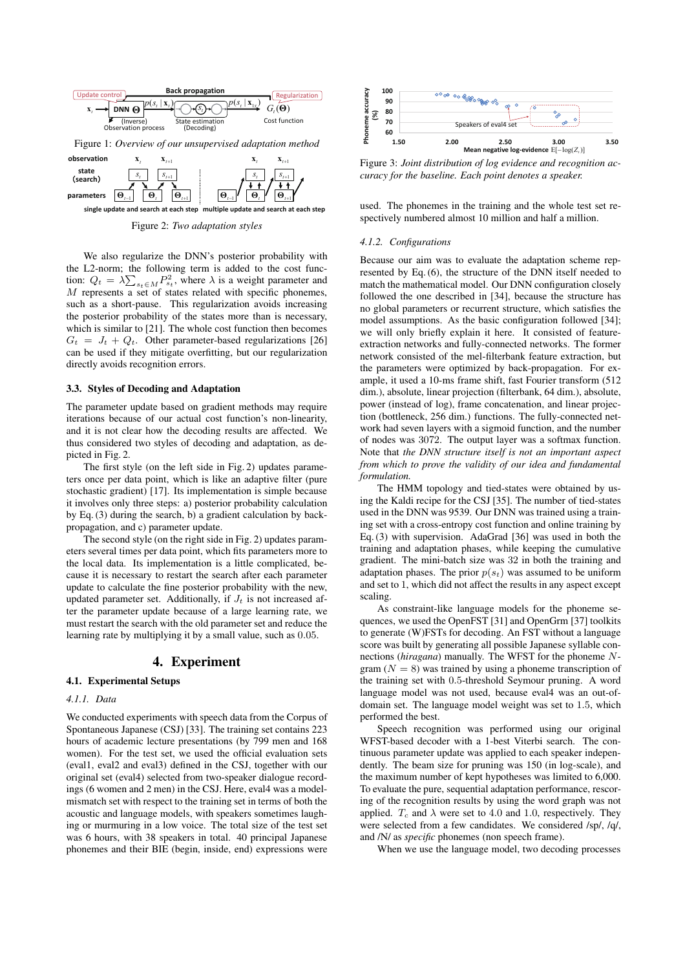



Figure 2: *Two adaptation styles*

We also regularize the DNN's posterior probability with the L2-norm; the following term is added to the cost function:  $Q_t = \lambda \sum_{s_t \in M} P_{s_t}^2$ , where  $\lambda$  is a weight parameter and  $M$  represents a set of states related with specific phonemes M represents a set of states related with specific phonemes, such as a short-pause. This regularization avoids increasing the posterior probability of the states more than is necessary, which is similar to [21]. The whole cost function then becomes  $G_t = J_t + Q_t$ . Other parameter-based regularizations [26] can be used if they mitigate overfitting, but our regularization directly avoids recognition errors.

#### 3.3. Styles of Decoding and Adaptation

The parameter update based on gradient methods may require iterations because of our actual cost function's non-linearity, and it is not clear how the decoding results are affected. We thus considered two styles of decoding and adaptation, as depicted in Fig. 2.

The first style (on the left side in Fig. 2) updates parameters once per data point, which is like an adaptive filter (pure stochastic gradient) [17]. Its implementation is simple because it involves only three steps: a) posterior probability calculation by Eq. (3) during the search, b) a gradient calculation by backpropagation, and c) parameter update.

The second style (on the right side in Fig. 2) updates parameters several times per data point, which fits parameters more to the local data. Its implementation is a little complicated, because it is necessary to restart the search after each parameter update to calculate the fine posterior probability with the new, updated parameter set. Additionally, if  $J_t$  is not increased after the parameter update because of a large learning rate, we must restart the search with the old parameter set and reduce the learning rate by multiplying it by a small value, such as 0.05.

## 4. Experiment

### 4.1. Experimental Setups

#### *4.1.1. Data*

We conducted experiments with speech data from the Corpus of Spontaneous Japanese (CSJ) [33]. The training set contains 223 hours of academic lecture presentations (by 799 men and 168 women). For the test set, we used the official evaluation sets (eval1, eval2 and eval3) defined in the CSJ, together with our original set (eval4) selected from two-speaker dialogue recordings (6 women and 2 men) in the CSJ. Here, eval4 was a modelmismatch set with respect to the training set in terms of both the acoustic and language models, with speakers sometimes laughing or murmuring in a low voice. The total size of the test set was 6 hours, with 38 speakers in total. 40 principal Japanese phonemes and their BIE (begin, inside, end) expressions were



Figure 3: *Joint distribution of log evidence and recognition accuracy for the baseline. Each point denotes a speaker.*

used. The phonemes in the training and the whole test set respectively numbered almost 10 million and half a million.

#### *4.1.2. Configurations*

Because our aim was to evaluate the adaptation scheme represented by Eq. (6), the structure of the DNN itself needed to match the mathematical model. Our DNN configuration closely followed the one described in [34], because the structure has no global parameters or recurrent structure, which satisfies the model assumptions. As the basic configuration followed [34]; we will only briefly explain it here. It consisted of featureextraction networks and fully-connected networks. The former network consisted of the mel-filterbank feature extraction, but the parameters were optimized by back-propagation. For example, it used a 10-ms frame shift, fast Fourier transform (512 dim.), absolute, linear projection (filterbank, 64 dim.), absolute, power (instead of log), frame concatenation, and linear projection (bottleneck, 256 dim.) functions. The fully-connected network had seven layers with a sigmoid function, and the number of nodes was 3072. The output layer was a softmax function. Note that *the DNN structure itself is not an important aspect from which to prove the validity of our idea and fundamental formulation.*

The HMM topology and tied-states were obtained by using the Kaldi recipe for the CSJ [35]. The number of tied-states used in the DNN was 9539. Our DNN was trained using a training set with a cross-entropy cost function and online training by Eq. (3) with supervision. AdaGrad [36] was used in both the training and adaptation phases, while keeping the cumulative gradient. The mini-batch size was 32 in both the training and adaptation phases. The prior  $p(s_t)$  was assumed to be uniform and set to 1, which did not affect the results in any aspect except scaling.

As constraint-like language models for the phoneme sequences, we used the OpenFST [31] and OpenGrm [37] toolkits to generate (W)FSTs for decoding. An FST without a language score was built by generating all possible Japanese syllable connections (*hiragana*) manually. The WFST for the phoneme Ngram  $(N = 8)$  was trained by using a phoneme transcription of the training set with 0.5-threshold Seymour pruning. A word language model was not used, because eval4 was an out-ofdomain set. The language model weight was set to 1.5, which performed the best.

Speech recognition was performed using our original WFST-based decoder with a 1-best Viterbi search. The continuous parameter update was applied to each speaker independently. The beam size for pruning was 150 (in log-scale), and the maximum number of kept hypotheses was limited to 6,000. To evaluate the pure, sequential adaptation performance, rescoring of the recognition results by using the word graph was not applied.  $T_c$  and  $\lambda$  were set to 4.0 and 1.0, respectively. They were selected from a few candidates. We considered /sp/, /q/, and /N/ as *specific* phonemes (non speech frame).

When we use the language model, two decoding processes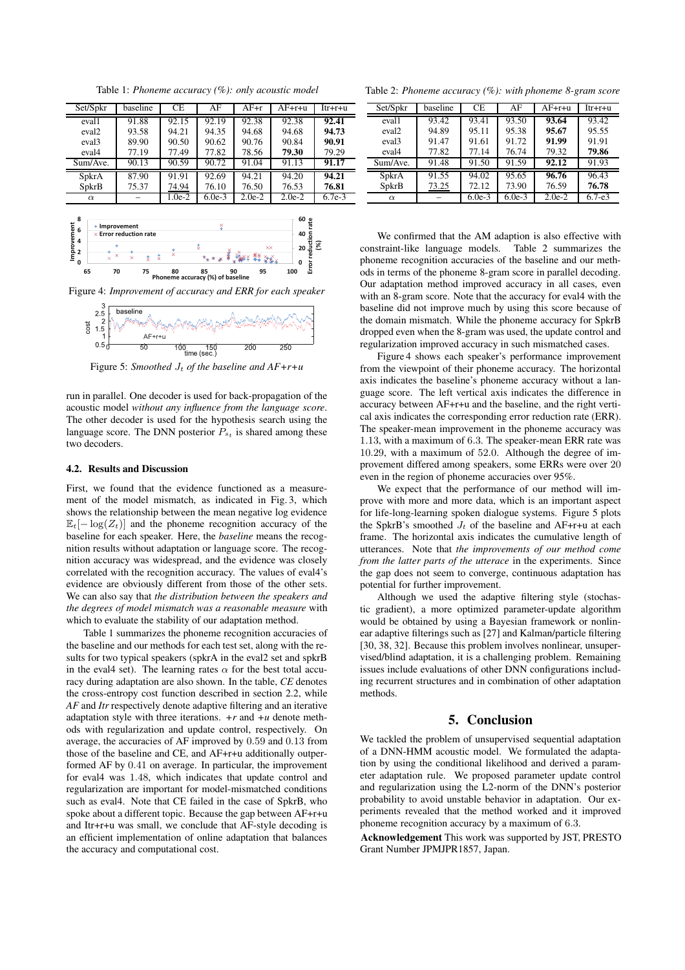Table 1: *Phoneme accuracy (%): only acoustic model*

| Set/Spkr          | baseline | CE       | AF       | $\overline{AF}$ +r | $AF+r+u$ | $Irr +r + u$ |
|-------------------|----------|----------|----------|--------------------|----------|--------------|
| eval1             | 91.88    | 92.15    | 92.19    | $\overline{92.38}$ | 92.38    | 92.41        |
| eval <sub>2</sub> | 93.58    | 94.21    | 94.35    | 94.68              | 94.68    | 94.73        |
| eval <sub>3</sub> | 89.90    | 90.50    | 90.62    | 90.76              | 90.84    | 90.91        |
| eval <sub>4</sub> | 77.19    | 77.49    | 77.82    | 78.56              | 79.30    | 79.29        |
| Sum/Ave.          | 90.13    | 90.59    | 90.72    | 91.04              | 91.13    | 91.17        |
| SpkrA             | 87.90    | 91.91    | 92.69    | 94.21              | 94.20    | 94.21        |
| SpkrB             | 75.37    | 74.94    | 76.10    | 76.50              | 76.53    | 76.81        |
| $\alpha$          |          | $1.0e-2$ | $6.0e-3$ | $2.0e-2$           | $2.0e-2$ | $6.7e-3$     |



Figure 4: *Improvement of accuracy and ERR for each speaker*



Figure 5: *Smoothed*  $J_t$  *of the baseline and*  $AF+r+u$ 

run in parallel. One decoder is used for back-propagation of the acoustic model *without any influence from the language score*. The other decoder is used for the hypothesis search using the language score. The DNN posterior  $P_{s_t}$  is shared among these two decoders.

#### 4.2. Results and Discussion

First, we found that the evidence functioned as a measurement of the model mismatch, as indicated in Fig. 3, which shows the relationship between the mean negative log evidence  $\mathbb{E}_t[-\log(Z_t)]$  and the phoneme recognition accuracy of the baseline for each speaker. Here, the *baseline* means the recognition results without adaptation or language score. The recognition accuracy was widespread, and the evidence was closely correlated with the recognition accuracy. The values of eval4's evidence are obviously different from those of the other sets. We can also say that *the distribution between the speakers and the degrees of model mismatch was a reasonable measure* with which to evaluate the stability of our adaptation method.

Table 1 summarizes the phoneme recognition accuracies of the baseline and our methods for each test set, along with the results for two typical speakers (spkrA in the eval2 set and spkrB in the eval4 set). The learning rates  $\alpha$  for the best total accuracy during adaptation are also shown. In the table, *CE* denotes the cross-entropy cost function described in section 2.2, while *AF* and *Itr* respectively denote adaptive filtering and an iterative adaptation style with three iterations.  $+r$  and  $+u$  denote methods with regularization and update control, respectively. On average, the accuracies of AF improved by 0.59 and 0.13 from those of the baseline and CE, and AF+r+u additionally outperformed AF by 0.41 on average. In particular, the improvement for eval4 was 1.48, which indicates that update control and regularization are important for model-mismatched conditions such as eval4. Note that CE failed in the case of SpkrB, who spoke about a different topic. Because the gap between AF+r+u and Itr+r+u was small, we conclude that AF-style decoding is an efficient implementation of online adaptation that balances the accuracy and computational cost.

Table 2: *Phoneme accuracy (%): with phoneme 8-gram score*

| Set/Spkr          | baseline | <b>CE</b> | AF       | $\overline{AF}$ +r+u | $I$ tr+r+u |
|-------------------|----------|-----------|----------|----------------------|------------|
| eval1             | 93.42    | 93.41     | 93.50    | 93.64                | 93.42      |
| eval <sub>2</sub> | 94.89    | 95.11     | 95.38    | 95.67                | 95.55      |
| eval <sub>3</sub> | 91.47    | 91.61     | 91.72    | 91.99                | 91.91      |
| eval4             | 77.82    | 77.14     | 76.74    | 79.32                | 79.86      |
| Sum/Ave.          | 91.48    | 91.50     | 91.59    | 92.12                | 91.93      |
| SpkrA             | 91.55    | 94.02     | 95.65    | 96.76                | 96.43      |
| SpkrB             | 73.25    | 72.12     | 73.90    | 76.59                | 76.78      |
| $\alpha$          |          | $6.0e-3$  | $6.0e-3$ | $2.0e-2$             | $6.7 - e3$ |

We confirmed that the AM adaption is also effective with constraint-like language models. Table 2 summarizes the phoneme recognition accuracies of the baseline and our methods in terms of the phoneme 8-gram score in parallel decoding. Our adaptation method improved accuracy in all cases, even with an 8-gram score. Note that the accuracy for eval4 with the baseline did not improve much by using this score because of the domain mismatch. While the phoneme accuracy for SpkrB dropped even when the 8-gram was used, the update control and regularization improved accuracy in such mismatched cases.

Figure 4 shows each speaker's performance improvement from the viewpoint of their phoneme accuracy. The horizontal axis indicates the baseline's phoneme accuracy without a language score. The left vertical axis indicates the difference in accuracy between AF+r+u and the baseline, and the right vertical axis indicates the corresponding error reduction rate (ERR). The speaker-mean improvement in the phoneme accuracy was 1.13, with a maximum of 6.3. The speaker-mean ERR rate was 10.29, with a maximum of 52.0. Although the degree of improvement differed among speakers, some ERRs were over 20 even in the region of phoneme accuracies over 95%.

We expect that the performance of our method will improve with more and more data, which is an important aspect for life-long-learning spoken dialogue systems. Figure 5 plots the SpkrB's smoothed  $J_t$  of the baseline and AF+r+u at each frame. The horizontal axis indicates the cumulative length of utterances. Note that *the improvements of our method come from the latter parts of the utterace* in the experiments. Since the gap does not seem to converge, continuous adaptation has potential for further improvement.

Although we used the adaptive filtering style (stochastic gradient), a more optimized parameter-update algorithm would be obtained by using a Bayesian framework or nonlinear adaptive filterings such as [27] and Kalman/particle filtering [30, 38, 32]. Because this problem involves nonlinear, unsupervised/blind adaptation, it is a challenging problem. Remaining issues include evaluations of other DNN configurations including recurrent structures and in combination of other adaptation methods.

## 5. Conclusion

We tackled the problem of unsupervised sequential adaptation of a DNN-HMM acoustic model. We formulated the adaptation by using the conditional likelihood and derived a parameter adaptation rule. We proposed parameter update control and regularization using the L2-norm of the DNN's posterior probability to avoid unstable behavior in adaptation. Our experiments revealed that the method worked and it improved phoneme recognition accuracy by a maximum of 6.3.

Acknowledgement This work was supported by JST, PRESTO Grant Number JPMJPR1857, Japan.